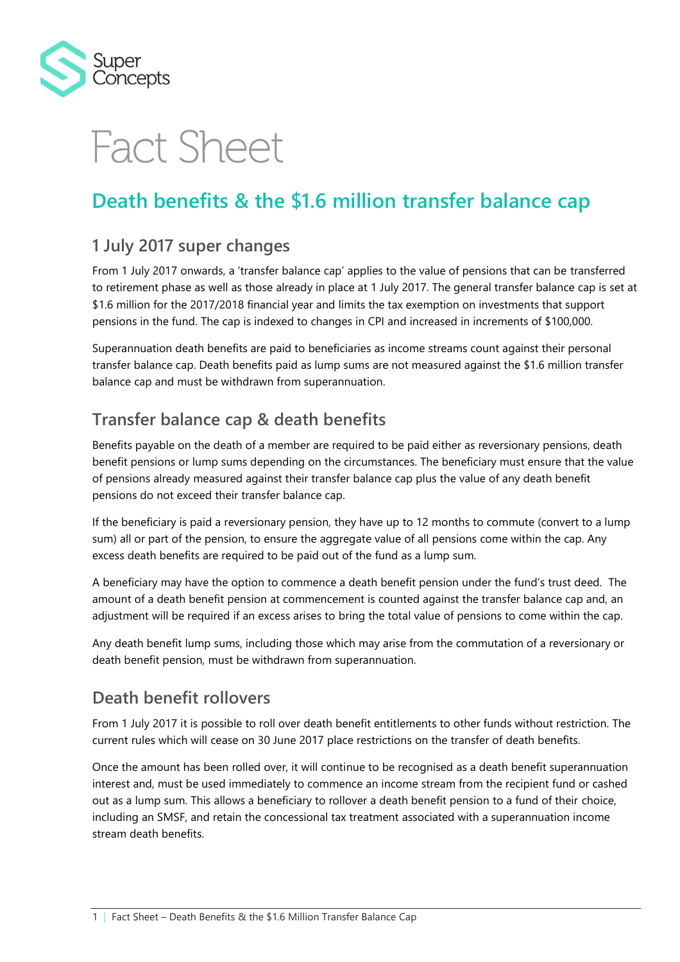

# **Fact Sheet**

## **Death benefits & the \$1.6 million transfer balance cap**

### **1 July 2017 super changes**

From 1 July 2017 onwards, a 'transfer balance cap' applies to the value of pensions that can be transferred to retirement phase as well as those already in place at 1 July 2017. The general transfer balance cap is set at \$1.6 million for the 2017/2018 financial year and limits the tax exemption on investments that support pensions in the fund. The cap is indexed to changes in CPI and increased in increments of \$100,000.

Superannuation death benefits are paid to beneficiaries as income streams count against their personal transfer balance cap. Death benefits paid as lump sums are not measured against the \$1.6 million transfer balance cap and must be withdrawn from superannuation.

#### **Transfer balance cap & death benefits**

Benefits payable on the death of a member are required to be paid either as reversionary pensions, death benefit pensions or lump sums depending on the circumstances. The beneficiary must ensure that the value of pensions already measured against their transfer balance cap plus the value of any death benefit pensions do not exceed their transfer balance cap.

If the beneficiary is paid a reversionary pension, they have up to 12 months to commute (convert to a lump sum) all or part of the pension, to ensure the aggregate value of all pensions come within the cap. Any excess death benefits are required to be paid out of the fund as a lump sum.

A beneficiary may have the option to commence a death benefit pension under the fund's trust deed. The amount of a death benefit pension at commencement is counted against the transfer balance cap and, an adjustment will be required if an excess arises to bring the total value of pensions to come within the cap.

Any death benefit lump sums, including those which may arise from the commutation of a reversionary or death benefit pension, must be withdrawn from superannuation.

#### **Death benefit rollovers**

From 1 July 2017 it is possible to roll over death benefit entitlements to other funds without restriction. The current rules which will cease on 30 June 2017 place restrictions on the transfer of death benefits.

Once the amount has been rolled over, it will continue to be recognised as a death benefit superannuation interest and, must be used immediately to commence an income stream from the recipient fund or cashed out as a lump sum. This allows a beneficiary to rollover a death benefit pension to a fund of their choice, including an SMSF, and retain the concessional tax treatment associated with a superannuation income stream death benefits.